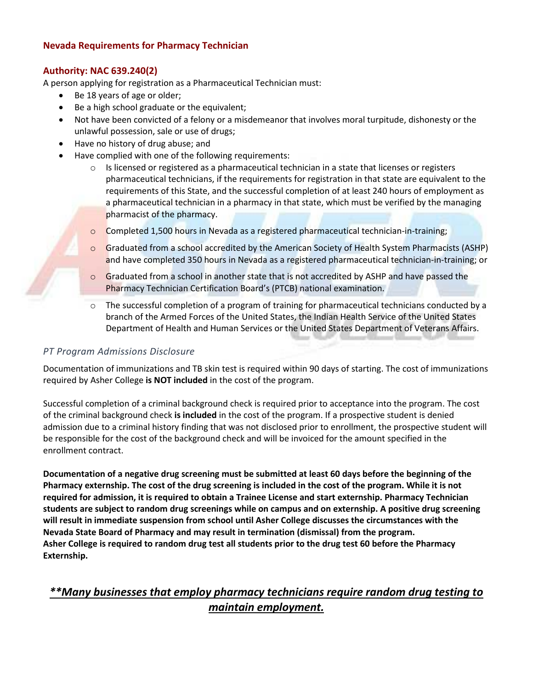## **Nevada Requirements for Pharmacy Technician**

### **Authority: NAC 639.240(2)**

A person applying for registration as a Pharmaceutical Technician must:

- Be 18 years of age or older;
- Be a high school graduate or the equivalent;
- Not have been convicted of a felony or a misdemeanor that involves moral turpitude, dishonesty or the unlawful possession, sale or use of drugs;
- Have no history of drug abuse; and
- Have complied with one of the following requirements:
	- $\circ$  Is licensed or registered as a pharmaceutical technician in a state that licenses or registers pharmaceutical technicians, if the requirements for registration in that state are equivalent to the requirements of this State, and the successful completion of at least 240 hours of employment as a pharmaceutical technician in a pharmacy in that state, which must be verified by the managing pharmacist of the pharmacy.
	- $\circ$  Completed 1,500 hours in Nevada as a registered pharmaceutical technician-in-training;
	- $\circ$  Graduated from a school accredited by the American Society of Health System Pharmacists (ASHP) and have completed 350 hours in Nevada as a registered pharmaceutical technician-in-training; or
	- $\circ$  Graduated from a school in another state that is not accredited by ASHP and have passed the Pharmacy Technician Certification Board's (PTCB) national examination.
	- The successful completion of a program of training for pharmaceutical technicians conducted by a branch of the Armed Forces of the United States, the Indian Health Service of the United States Department of Health and Human Services or the United States Department of Veterans Affairs.

### *PT Program Admissions Disclosure*

Documentation of immunizations and TB skin test is required within 90 days of starting. The cost of immunizations required by Asher College **is NOT included** in the cost of the program.

Successful completion of a criminal background check is required prior to acceptance into the program. The cost of the criminal background check **is included** in the cost of the program. If a prospective student is denied admission due to a criminal history finding that was not disclosed prior to enrollment, the prospective student will be responsible for the cost of the background check and will be invoiced for the amount specified in the enrollment contract.

**Documentation of a negative drug screening must be submitted at least 60 days before the beginning of the Pharmacy externship. The cost of the drug screening is included in the cost of the program. While it is not required for admission, it is required to obtain a Trainee License and start externship. Pharmacy Technician students are subject to random drug screenings while on campus and on externship. A positive drug screening will result in immediate suspension from school until Asher College discusses the circumstances with the Nevada State Board of Pharmacy and may result in termination (dismissal) from the program. Asher College is required to random drug test all students prior to the drug test 60 before the Pharmacy Externship.** 

# *\*\*Many businesses that employ pharmacy technicians require random drug testing to maintain employment.*